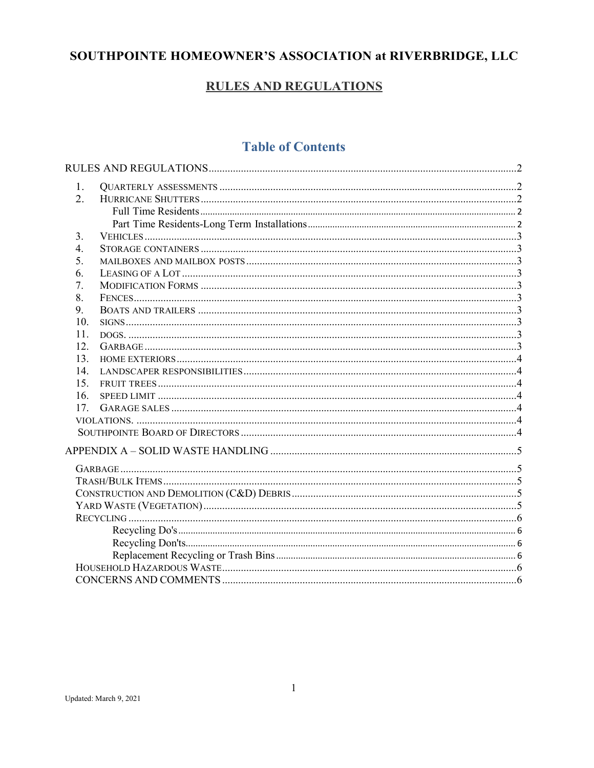# SOUTHPOINTE HOMEOWNER'S ASSOCIATION at RIVERBRIDGE, LLC

# **RULES AND REGULATIONS**

# **Table of Contents**

| 1.  |  |  |  |  |
|-----|--|--|--|--|
| 2.  |  |  |  |  |
|     |  |  |  |  |
|     |  |  |  |  |
| 3.  |  |  |  |  |
| 4.  |  |  |  |  |
| 5.  |  |  |  |  |
| 6.  |  |  |  |  |
| 7.  |  |  |  |  |
| 8.  |  |  |  |  |
| 9.  |  |  |  |  |
| 10. |  |  |  |  |
| 11. |  |  |  |  |
| 12. |  |  |  |  |
| 13. |  |  |  |  |
| 14. |  |  |  |  |
| 15. |  |  |  |  |
| 16. |  |  |  |  |
| 17. |  |  |  |  |
|     |  |  |  |  |
|     |  |  |  |  |
|     |  |  |  |  |
|     |  |  |  |  |
|     |  |  |  |  |
|     |  |  |  |  |
|     |  |  |  |  |
|     |  |  |  |  |
|     |  |  |  |  |
|     |  |  |  |  |
|     |  |  |  |  |
|     |  |  |  |  |
|     |  |  |  |  |
|     |  |  |  |  |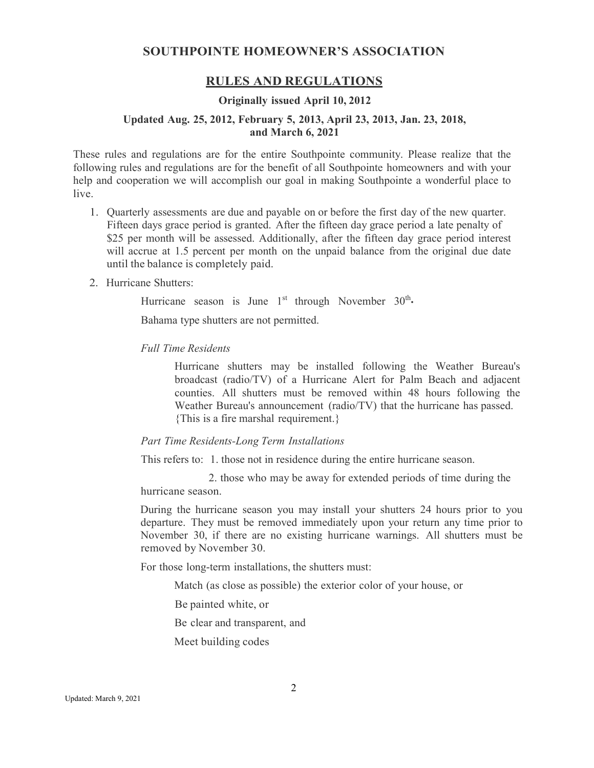## **SOUTHPOINTE HOMEOWNER'S ASSOCIATION**

# **RULES AND REGULATIONS**

## **Originally issued April 10, 2012**

### <span id="page-1-0"></span>**Updated Aug. 25, 2012, February 5, 2013, April 23, 2013, Jan. 23, 2018, and March 6, 2021**

These rules and regulations are for the entire Southpointe community. Please realize that the following rules and regulations are for the benefit of all Southpointe homeowners and with your help and cooperation we will accomplish our goal in making Southpointe a wonderful place to live.

- <span id="page-1-1"></span>1. Quarterly assessments are due and payable on or before the first day of the new quarter. Fifteen days grace period is granted. After the fifteen day grace period a late penalty of \$25 per month will be assessed. Additionally, after the fifteen day grace period interest will accrue at 1.5 percent per month on the unpaid balance from the original due date until the balance is completely paid.
- <span id="page-1-3"></span><span id="page-1-2"></span>2. Hurricane Shutters:

Hurricane season is June  $1<sup>st</sup>$  through November  $30<sup>th</sup>$ .

Bahama type shutters are not permitted.

#### *Full Time Residents*

Hurricane shutters may be installed following the Weather Bureau's broadcast (radio/TV) of a Hurricane Alert for Palm Beach and adjacent counties. All shutters must be removed within 48 hours following the Weather Bureau's announcement (radio/TV) that the hurricane has passed. {This is a fire marshal requirement.}

#### <span id="page-1-4"></span>*Part Time Residents-Long Term Installations*

This refers to: 1. those not in residence during the entire hurricane season.

2. those who may be away for extended periods of time during the hurricane season.

During the hurricane season you may install your shutters 24 hours prior to you departure. They must be removed immediately upon your return any time prior to November 30, if there are no existing hurricane warnings. All shutters must be removed by November 30.

For those long-term installations, the shutters must:

Match (as close as possible) the exterior color of your house, or

Be painted white, or

Be clear and transparent, and

Meet building codes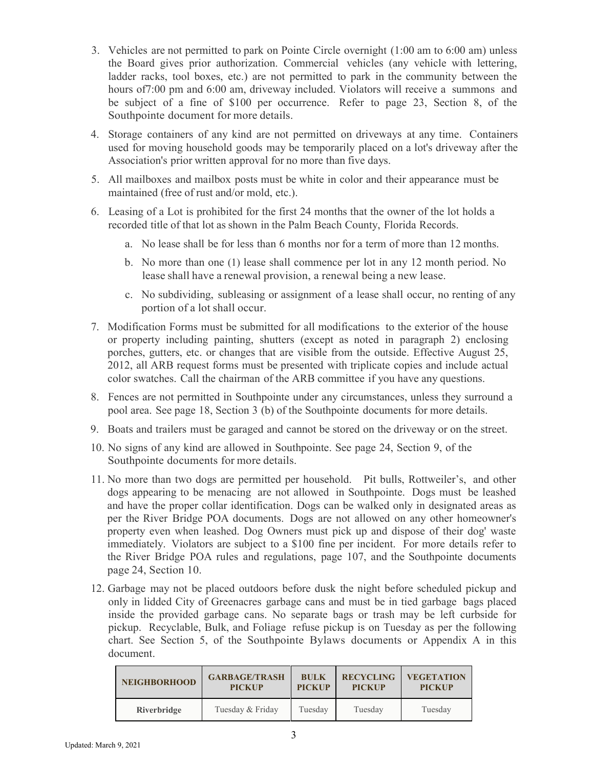- <span id="page-2-0"></span>3. Vehicles are not permitted to park on Pointe Circle overnight (1:00 am to 6:00 am) unless the Board gives prior authorization. Commercial vehicles (any vehicle with lettering, ladder racks, tool boxes, etc.) are not permitted to park in the community between the hours of7:00 pm and 6:00 am, driveway included. Violators will receive a summons and be subject of a fine of \$100 per occurrence. Refer to page 23, Section 8, of the Southpointe document for more details.
- <span id="page-2-1"></span>4. Storage containers of any kind are not permitted on driveways at any time. Containers used for moving household goods may be temporarily placed on a lot's driveway after the Association's prior written approval for no more than five days.
- <span id="page-2-2"></span>5. All mailboxes and mailbox posts must be white in color and their appearance must be maintained (free of rust and/or mold, etc.).
- <span id="page-2-3"></span>6. Leasing of a Lot is prohibited for the first 24 months that the owner of the lot holds a recorded title of that lot as shown in the Palm Beach County, Florida Records.
	- a. No lease shall be for less than 6 months nor for a term of more than 12 months.
	- b. No more than one (1) lease shall commence per lot in any 12 month period. No lease shall have a renewal provision, a renewal being a new lease.
	- c. No subdividing, subleasing or assignment of a lease shall occur, no renting of any portion of a lot shall occur.
- <span id="page-2-4"></span>7. Modification Forms must be submitted for all modifications to the exterior of the house or property including painting, shutters (except as noted in paragraph 2) enclosing porches, gutters, etc. or changes that are visible from the outside. Effective August 25, 2012, all ARB request forms must be presented with triplicate copies and include actual color swatches. Call the chairman of the ARB committee if you have any questions.
- <span id="page-2-5"></span>8. Fences are not permitted in Southpointe under any circumstances, unless they surround a pool area. See page 18, Section 3 (b) of the Southpointe documents for more details.
- <span id="page-2-6"></span>9. Boats and trailers must be garaged and cannot be stored on the driveway or on the street.
- <span id="page-2-7"></span>10. No signs of any kind are allowed in Southpointe. See page 24, Section 9, of the Southpointe documents for more details.
- <span id="page-2-8"></span>11. No more than two dogs are permitted per household. Pit bulls, Rottweiler's, and other dogs appearing to be menacing are not allowed in Southpointe. Dogs must be leashed and have the proper collar identification. Dogs can be walked only in designated areas as per the River Bridge POA documents. Dogs are not allowed on any other homeowner's property even when leashed. Dog Owners must pick up and dispose of their dog' waste immediately. Violators are subject to a \$100 fine per incident. For more details refer to the River Bridge POA rules and regulations, page 107, and the Southpointe documents page 24, Section 10.
- <span id="page-2-9"></span>12. Garbage may not be placed outdoors before dusk the night before scheduled pickup and only in lidded City of Greenacres garbage cans and must be in tied garbage bags placed inside the provided garbage cans. No separate bags or trash may be left curbside for pickup. Recyclable, Bulk, and Foliage refuse pickup is on Tuesday as per the following chart. See Section 5, of the Southpointe Bylaws documents or Appendix A in this document.

| <b>NEIGHBORHOOD</b> | <b>GARBAGE/TRASH</b> | <b>BULK</b>   | <b>RECYCLING</b> | <b>VEGETATION</b> |
|---------------------|----------------------|---------------|------------------|-------------------|
|                     | <b>PICKUP</b>        | <b>PICKUP</b> | <b>PICKUP</b>    | <b>PICKUP</b>     |
| Riverbridge         | Tuesday & Friday     | Tuesday       | Tuesday          | Tuesday           |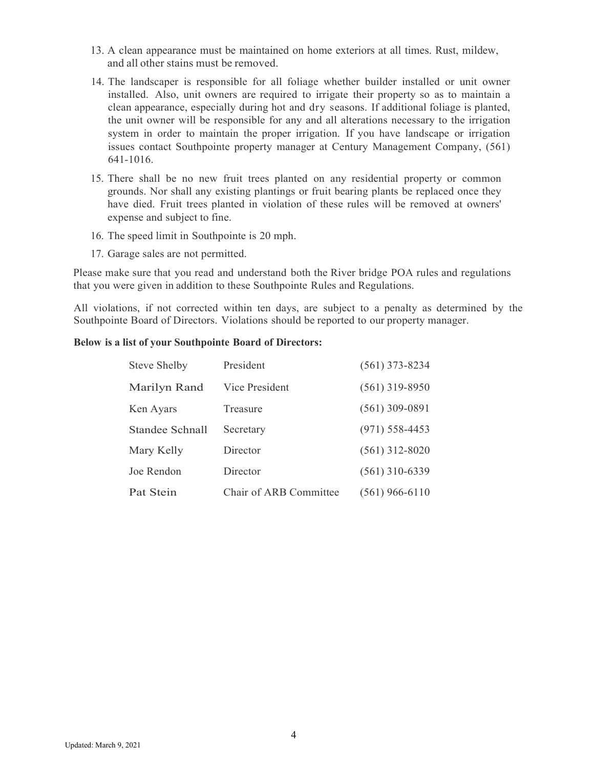- <span id="page-3-0"></span>13. A clean appearance must be maintained on home exteriors at all times. Rust, mildew, and all other stains must be removed.
- <span id="page-3-1"></span>14. The landscaper is responsible for all foliage whether builder installed or unit owner installed. Also, unit owners are required to irrigate their property so as to maintain a clean appearance, especially during hot and dry seasons. If additional foliage is planted, the unit owner will be responsible for any and all alterations necessary to the irrigation system in order to maintain the proper irrigation. If you have landscape or irrigation issues contact Southpointe property manager at Century Management Company, (561) 641-1016.
- <span id="page-3-2"></span>15. There shall be no new fruit trees planted on any residential property or common grounds. Nor shall any existing plantings or fruit bearing plants be replaced once they have died. Fruit trees planted in violation of these rules will be removed at owners' expense and subject to fine.
- <span id="page-3-3"></span>16. The speed limit in Southpointe is 20 mph.
- 17. Garage sales are not permitted.

<span id="page-3-4"></span>Please make sure that you read and understand both the River bridge POA rules and regulations that you were given in addition to these Southpointe Rules and Regulations.

<span id="page-3-5"></span>All violations, if not corrected within ten days, are subject to a penalty as determined by the Southpointe Board of Directors. Violations should be reported to our property manager.

#### <span id="page-3-6"></span>**Below is a list of your Southpointe Board of Directors:**

| <b>Steve Shelby</b> | President              | $(561)$ 373-8234 |
|---------------------|------------------------|------------------|
| Marilyn Rand        | Vice President         | $(561)$ 319-8950 |
| Ken Ayars           | Treasure               | $(561)$ 309-0891 |
| Standee Schnall     | Secretary              | $(971)$ 558-4453 |
| Mary Kelly          | Director               | $(561)$ 312-8020 |
| Joe Rendon          | Director               | $(561)$ 310-6339 |
| Pat Stein           | Chair of ARB Committee | $(561)$ 966-6110 |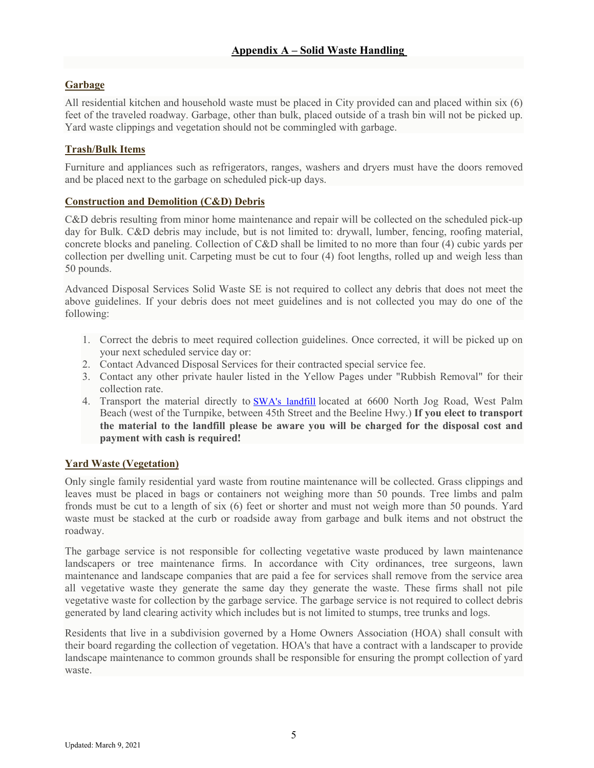# <span id="page-4-1"></span><span id="page-4-0"></span>**Garbage**

All residential kitchen and household waste must be placed in City provided can and placed within six (6) feet of the traveled roadway. Garbage, other than bulk, placed outside of a trash bin will not be picked up. Yard waste clippings and vegetation should not be commingled with garbage.

# <span id="page-4-2"></span>**Trash/Bulk Items**

Furniture and appliances such as refrigerators, ranges, washers and dryers must have the doors removed and be placed next to the garbage on scheduled pick-up days.

## <span id="page-4-3"></span>**Construction and Demolition (C&D) Debris**

C&D debris resulting from minor home maintenance and repair will be collected on the scheduled pick-up day for Bulk. C&D debris may include, but is not limited to: drywall, lumber, fencing, roofing material, concrete blocks and paneling. Collection of C&D shall be limited to no more than four (4) cubic yards per collection per dwelling unit. Carpeting must be cut to four (4) foot lengths, rolled up and weigh less than 50 pounds.

Advanced Disposal Services Solid Waste SE is not required to collect any debris that does not meet the above guidelines. If your debris does not meet guidelines and is not collected you may do one of the following:

- 1. Correct the debris to meet required collection guidelines. Once corrected, it will be picked up on your next scheduled service day or:
- 2. Contact Advanced Disposal Services for their contracted special service fee.
- 3. Contact any other private hauler listed in the Yellow Pages under "Rubbish Removal" for their collection rate.
- 4. Transport the material directly to **[SWA's landfill](http://swa.org/227/Facilities-Hours)** located at 6600 North Jog Road, West Palm Beach (west of the Turnpike, between 45th Street and the Beeline Hwy.) **If you elect to transport the material to the landfill please be aware you will be charged for the disposal cost and payment with cash is required!**

## <span id="page-4-4"></span>**Yard Waste (Vegetation)**

Only single family residential yard waste from routine maintenance will be collected. Grass clippings and leaves must be placed in bags or containers not weighing more than 50 pounds. Tree limbs and palm fronds must be cut to a length of six (6) feet or shorter and must not weigh more than 50 pounds. Yard waste must be stacked at the curb or roadside away from garbage and bulk items and not obstruct the roadway.

The garbage service is not responsible for collecting vegetative waste produced by lawn maintenance landscapers or tree maintenance firms. In accordance with City ordinances, tree surgeons, lawn maintenance and landscape companies that are paid a fee for services shall remove from the service area all vegetative waste they generate the same day they generate the waste. These firms shall not pile vegetative waste for collection by the garbage service. The garbage service is not required to collect debris generated by land clearing activity which includes but is not limited to stumps, tree trunks and logs.

Residents that live in a subdivision governed by a Home Owners Association (HOA) shall consult with their board regarding the collection of vegetation. HOA's that have a contract with a landscaper to provide landscape maintenance to common grounds shall be responsible for ensuring the prompt collection of yard waste.